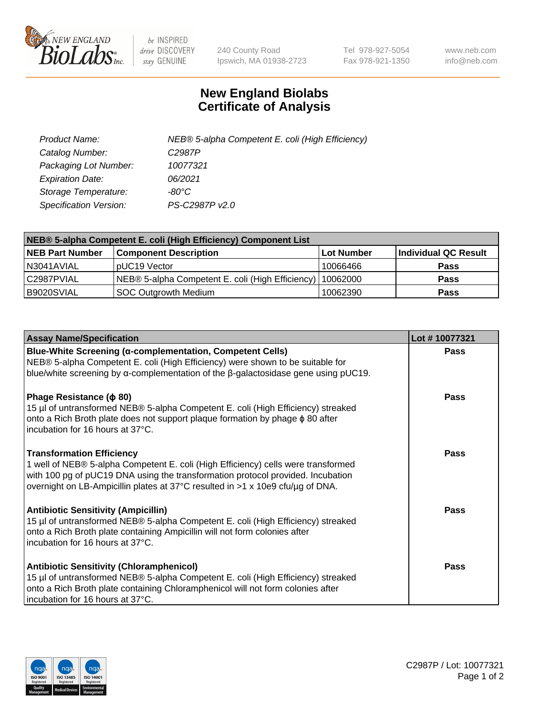

 $be$  INSPIRED drive DISCOVERY stay GENUINE

240 County Road Ipswich, MA 01938-2723 Tel 978-927-5054 Fax 978-921-1350 www.neb.com info@neb.com

## **New England Biolabs Certificate of Analysis**

| Product Name:           | NEB® 5-alpha Competent E. coli (High Efficiency) |
|-------------------------|--------------------------------------------------|
| Catalog Number:         | C <sub>2987</sub> P                              |
| Packaging Lot Number:   | 10077321                                         |
| <b>Expiration Date:</b> | 06/2021                                          |
| Storage Temperature:    | -80°C                                            |
| Specification Version:  | PS-C2987P v2.0                                   |

| NEB® 5-alpha Competent E. coli (High Efficiency) Component List |                                                  |            |                      |  |
|-----------------------------------------------------------------|--------------------------------------------------|------------|----------------------|--|
| <b>NEB Part Number</b>                                          | <b>Component Description</b>                     | Lot Number | Individual QC Result |  |
| N3041AVIAL                                                      | pUC19 Vector                                     | 10066466   | <b>Pass</b>          |  |
| C2987PVIAL                                                      | NEB® 5-alpha Competent E. coli (High Efficiency) | 10062000   | <b>Pass</b>          |  |
| B9020SVIAL                                                      | <b>SOC Outgrowth Medium</b>                      | 10062390   | <b>Pass</b>          |  |

| <b>Assay Name/Specification</b>                                                                                                                                                                                                                                                            | Lot #10077321 |
|--------------------------------------------------------------------------------------------------------------------------------------------------------------------------------------------------------------------------------------------------------------------------------------------|---------------|
| Blue-White Screening (α-complementation, Competent Cells)<br>NEB® 5-alpha Competent E. coli (High Efficiency) were shown to be suitable for<br>blue/white screening by $\alpha$ -complementation of the $\beta$ -galactosidase gene using pUC19.                                           | <b>Pass</b>   |
| Phage Resistance ( $\phi$ 80)<br>15 µl of untransformed NEB® 5-alpha Competent E. coli (High Efficiency) streaked<br>onto a Rich Broth plate does not support plaque formation by phage $\phi$ 80 after<br>incubation for 16 hours at 37°C.                                                | <b>Pass</b>   |
| <b>Transformation Efficiency</b><br>1 well of NEB® 5-alpha Competent E. coli (High Efficiency) cells were transformed<br>with 100 pg of pUC19 DNA using the transformation protocol provided. Incubation<br>overnight on LB-Ampicillin plates at 37°C resulted in >1 x 10e9 cfu/µg of DNA. | Pass          |
| <b>Antibiotic Sensitivity (Ampicillin)</b><br>15 µl of untransformed NEB® 5-alpha Competent E. coli (High Efficiency) streaked<br>onto a Rich Broth plate containing Ampicillin will not form colonies after<br>incubation for 16 hours at 37°C.                                           | Pass          |
| <b>Antibiotic Sensitivity (Chloramphenicol)</b><br>15 µl of untransformed NEB® 5-alpha Competent E. coli (High Efficiency) streaked<br>onto a Rich Broth plate containing Chloramphenicol will not form colonies after<br>incubation for 16 hours at 37°C.                                 | Pass          |